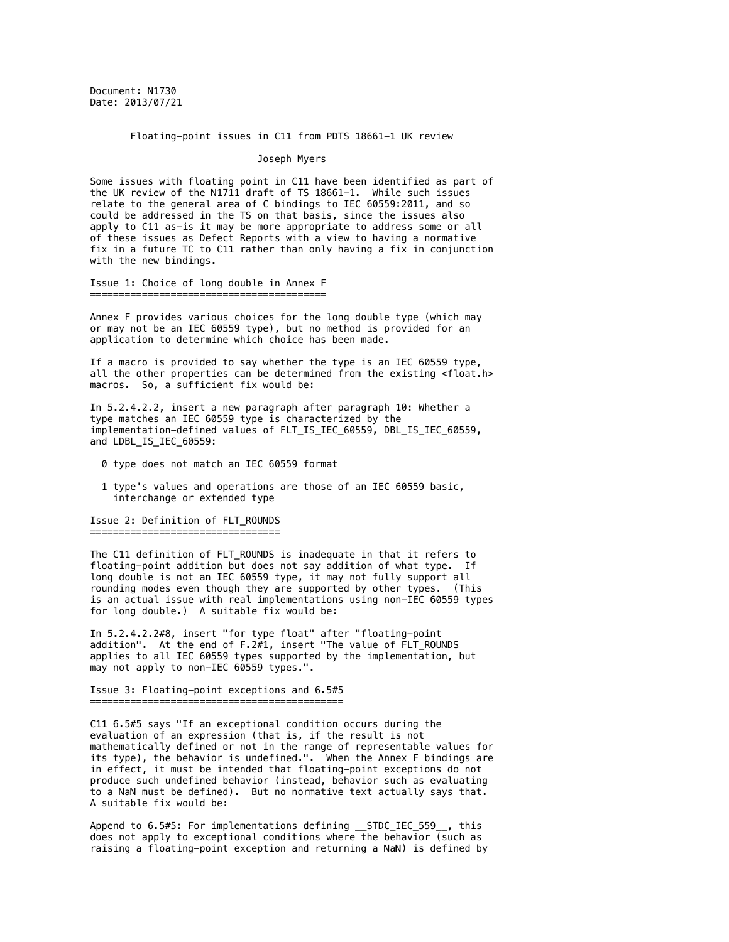Document: N1730 Date: 2013/07/21

Floating-point issues in C11 from PDTS 18661-1 UK review

## Joseph Myers

Some issues with floating point in C11 have been identified as part of the UK review of the N1711 draft of TS 18661-1. While such issues relate to the general area of C bindings to IEC 60559:2011, and so could be addressed in the TS on that basis, since the issues also apply to C11 as-is it may be more appropriate to address some or all of these issues as Defect Reports with a view to having a normative fix in a future TC to C11 rather than only having a fix in conjunction with the new bindings.

Issue 1: Choice of long double in Annex F =========================================

Annex F provides various choices for the long double type (which may or may not be an IEC 60559 type), but no method is provided for an

application to determine which choice has been made. If a macro is provided to say whether the type is an IEC 60559 type,

all the other properties can be determined from the existing <float.h> macros. So, a sufficient fix would be:

In 5.2.4.2.2, insert a new paragraph after paragraph 10: Whether a type matches an IEC 60559 type is characterized by the implementation-defined values of FLT\_IS\_IEC\_60559, DBL\_IS\_IEC\_60559, and LDBL\_IS\_IEC\_60559:

- 0 type does not match an IEC 60559 format
- 1 type's values and operations are those of an IEC 60559 basic, interchange or extended type

Issue 2: Definition of FLT\_ROUNDS ===================================

The C11 definition of FLT\_ROUNDS is inadequate in that it refers to floating-point addition but does not say addition of what type. If long double is not an IEC 60559 type, it may not fully support all rounding modes even though they are supported by other types. (This is an actual issue with real implementations using non-IEC 60559 types for long double.) A suitable fix would be:

In 5.2.4.2.2#8, insert "for type float" after "floating-point addition". At the end of  $F.2#1$ , insert "The value of  $\overline{FLT}$  ROUNDS applies to all IEC 60559 types supported by the implementation, but may not apply to non-IEC 60559 types.".

Issue 3: Floating-point exceptions and 6.5#5 ============================================

C11 6.5#5 says "If an exceptional condition occurs during the evaluation of an expression (that is, if the result is not mathematically defined or not in the range of representable values for its type), the behavior is undefined.". When the Annex F bindings are in effect, it must be intended that floating-point exceptions do not produce such undefined behavior (instead, behavior such as evaluating to a NaN must be defined). But no normative text actually says that. A suitable fix would be:

Append to 6.5#5: For implementations defining \_\_STDC\_IEC\_559\_\_, this does not apply to exceptional conditions where the behavior (such as raising a floating-point exception and returning a NaN) is defined by